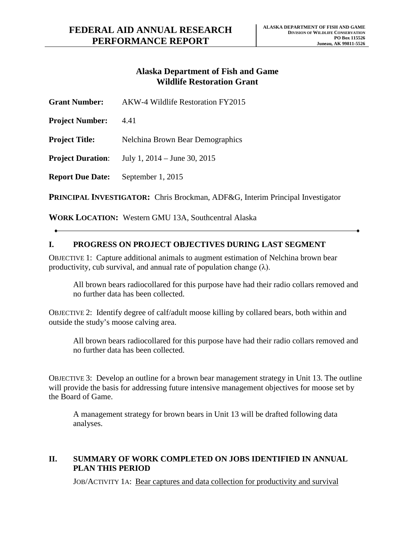## **Alaska Department of Fish and Game Wildlife Restoration Grant**

| <b>Grant Number:</b>                                                                  | AKW-4 Wildlife Restoration FY2015 |
|---------------------------------------------------------------------------------------|-----------------------------------|
| <b>Project Number:</b>                                                                | 4.41                              |
| <b>Project Title:</b>                                                                 | Nelchina Brown Bear Demographics  |
| <b>Project Duration:</b>                                                              | July 1, $2014 -$ June 30, $2015$  |
| <b>Report Due Date:</b>                                                               | September 1, 2015                 |
| <b>DDIMCIDAL INVESTICATOR:</b> Chris Dreakman, ADE&C, Interim Dringinal Investigation |                                   |

**PRINCIPAL INVESTIGATOR:** Chris Brockman, ADF&G, Interim Principal Investigator

**WORK LOCATION:** Western GMU 13A, Southcentral Alaska

## **I. PROGRESS ON PROJECT OBJECTIVES DURING LAST SEGMENT**

OBJECTIVE 1: Capture additional animals to augment estimation of Nelchina brown bear productivity, cub survival, and annual rate of population change  $(\lambda)$ .

All brown bears radiocollared for this purpose have had their radio collars removed and no further data has been collected.

OBJECTIVE 2: Identify degree of calf/adult moose killing by collared bears, both within and outside the study's moose calving area.

All brown bears radiocollared for this purpose have had their radio collars removed and no further data has been collected.

OBJECTIVE 3: Develop an outline for a brown bear management strategy in Unit 13. The outline will provide the basis for addressing future intensive management objectives for moose set by the Board of Game.

A management strategy for brown bears in Unit 13 will be drafted following data analyses.

## **II. SUMMARY OF WORK COMPLETED ON JOBS IDENTIFIED IN ANNUAL PLAN THIS PERIOD**

JOB/ACTIVITY 1A: Bear captures and data collection for productivity and survival